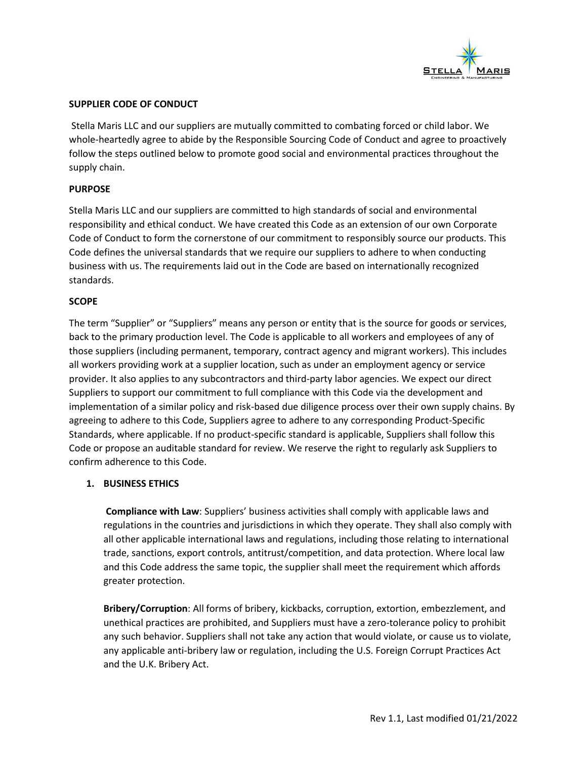

## **SUPPLIER CODE OF CONDUCT**

Stella Maris LLC and our suppliers are mutually committed to combating forced or child labor. We whole-heartedly agree to abide by the Responsible Sourcing Code of Conduct and agree to proactively follow the steps outlined below to promote good social and environmental practices throughout the supply chain.

## **PURPOSE**

Stella Maris LLC and our suppliers are committed to high standards of social and environmental responsibility and ethical conduct. We have created this Code as an extension of our own Corporate Code of Conduct to form the cornerstone of our commitment to responsibly source our products. This Code defines the universal standards that we require our suppliers to adhere to when conducting business with us. The requirements laid out in the Code are based on internationally recognized standards.

## **SCOPE**

The term "Supplier" or "Suppliers" means any person or entity that is the source for goods or services, back to the primary production level. The Code is applicable to all workers and employees of any of those suppliers (including permanent, temporary, contract agency and migrant workers). This includes all workers providing work at a supplier location, such as under an employment agency or service provider. It also applies to any subcontractors and third-party labor agencies. We expect our direct Suppliers to support our commitment to full compliance with this Code via the development and implementation of a similar policy and risk-based due diligence process over their own supply chains. By agreeing to adhere to this Code, Suppliers agree to adhere to any corresponding Product-Specific Standards, where applicable. If no product-specific standard is applicable, Suppliers shall follow this Code or propose an auditable standard for review. We reserve the right to regularly ask Suppliers to confirm adherence to this Code.

#### **1. BUSINESS ETHICS**

**Compliance with Law**: Suppliers' business activities shall comply with applicable laws and regulations in the countries and jurisdictions in which they operate. They shall also comply with all other applicable international laws and regulations, including those relating to international trade, sanctions, export controls, antitrust/competition, and data protection. Where local law and this Code address the same topic, the supplier shall meet the requirement which affords greater protection.

**Bribery/Corruption**: All forms of bribery, kickbacks, corruption, extortion, embezzlement, and unethical practices are prohibited, and Suppliers must have a zero-tolerance policy to prohibit any such behavior. Suppliers shall not take any action that would violate, or cause us to violate, any applicable anti-bribery law or regulation, including the U.S. Foreign Corrupt Practices Act and the U.K. Bribery Act.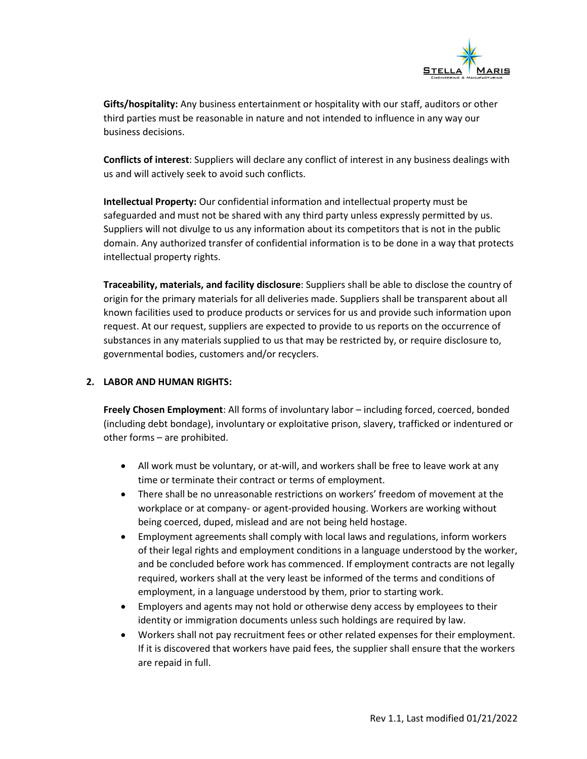

**Gifts/hospitality:** Any business entertainment or hospitality with our staff, auditors or other third parties must be reasonable in nature and not intended to influence in any way our business decisions.

**Conflicts of interest**: Suppliers will declare any conflict of interest in any business dealings with us and will actively seek to avoid such conflicts.

**Intellectual Property:** Our confidential information and intellectual property must be safeguarded and must not be shared with any third party unless expressly permitted by us. Suppliers will not divulge to us any information about its competitors that is not in the public domain. Any authorized transfer of confidential information is to be done in a way that protects intellectual property rights.

**Traceability, materials, and facility disclosure**: Suppliers shall be able to disclose the country of origin for the primary materials for all deliveries made. Suppliers shall be transparent about all known facilities used to produce products or services for us and provide such information upon request. At our request, suppliers are expected to provide to us reports on the occurrence of substances in any materials supplied to us that may be restricted by, or require disclosure to, governmental bodies, customers and/or recyclers.

# **2. LABOR AND HUMAN RIGHTS:**

**Freely Chosen Employment**: All forms of involuntary labor – including forced, coerced, bonded (including debt bondage), involuntary or exploitative prison, slavery, trafficked or indentured or other forms – are prohibited.

- All work must be voluntary, or at-will, and workers shall be free to leave work at any time or terminate their contract or terms of employment.
- There shall be no unreasonable restrictions on workers' freedom of movement at the workplace or at company- or agent-provided housing. Workers are working without being coerced, duped, mislead and are not being held hostage.
- Employment agreements shall comply with local laws and regulations, inform workers of their legal rights and employment conditions in a language understood by the worker, and be concluded before work has commenced. If employment contracts are not legally required, workers shall at the very least be informed of the terms and conditions of employment, in a language understood by them, prior to starting work.
- Employers and agents may not hold or otherwise deny access by employees to their identity or immigration documents unless such holdings are required by law.
- Workers shall not pay recruitment fees or other related expenses for their employment. If it is discovered that workers have paid fees, the supplier shall ensure that the workers are repaid in full.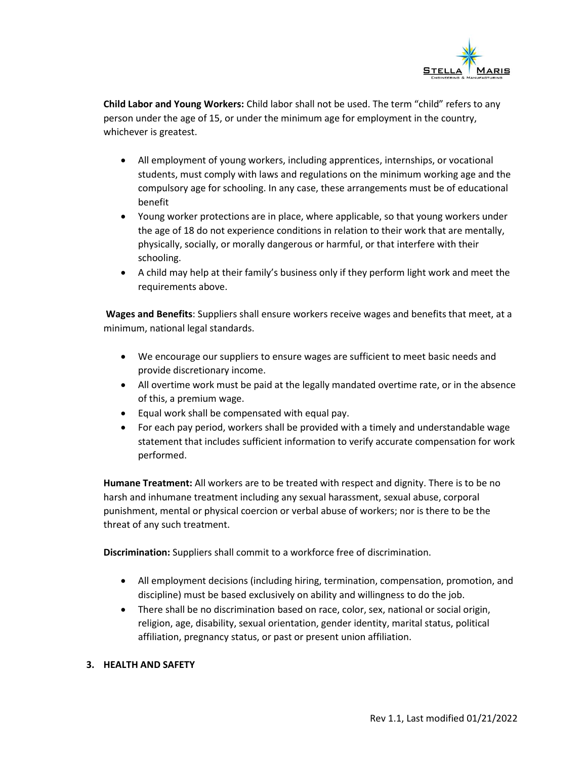

**Child Labor and Young Workers:** Child labor shall not be used. The term "child" refers to any person under the age of 15, or under the minimum age for employment in the country, whichever is greatest.

- All employment of young workers, including apprentices, internships, or vocational students, must comply with laws and regulations on the minimum working age and the compulsory age for schooling. In any case, these arrangements must be of educational benefit
- Young worker protections are in place, where applicable, so that young workers under the age of 18 do not experience conditions in relation to their work that are mentally, physically, socially, or morally dangerous or harmful, or that interfere with their schooling.
- A child may help at their family's business only if they perform light work and meet the requirements above.

**Wages and Benefits**: Suppliers shall ensure workers receive wages and benefits that meet, at a minimum, national legal standards.

- We encourage our suppliers to ensure wages are sufficient to meet basic needs and provide discretionary income.
- All overtime work must be paid at the legally mandated overtime rate, or in the absence of this, a premium wage.
- Equal work shall be compensated with equal pay.
- For each pay period, workers shall be provided with a timely and understandable wage statement that includes sufficient information to verify accurate compensation for work performed.

**Humane Treatment:** All workers are to be treated with respect and dignity. There is to be no harsh and inhumane treatment including any sexual harassment, sexual abuse, corporal punishment, mental or physical coercion or verbal abuse of workers; nor is there to be the threat of any such treatment.

**Discrimination:** Suppliers shall commit to a workforce free of discrimination.

- All employment decisions (including hiring, termination, compensation, promotion, and discipline) must be based exclusively on ability and willingness to do the job.
- There shall be no discrimination based on race, color, sex, national or social origin, religion, age, disability, sexual orientation, gender identity, marital status, political affiliation, pregnancy status, or past or present union affiliation.

# **3. HEALTH AND SAFETY**